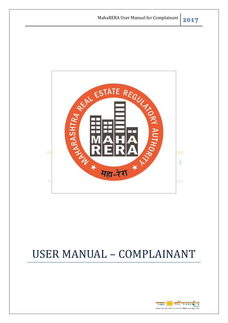

# USER MANUAL – COMPLAINANT

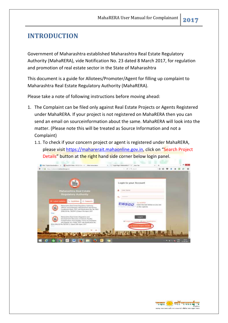### <span id="page-1-0"></span>**INTRODUCTION**

Government of Maharashtra established Maharashtra Real Estate Regulatory Authority (MahaRERA), vide Notification No. 23 dated 8 March 2017, for regulation and promotion of real estate sector in the State of Maharashtra

This document is a guide for Allotees/Promoter/Agent for filling up complaint to Maharashtra Real Estate Regulatory Authority (MahaRERA).

Please take a note of following instructions before moving ahead:

- 1. The Complaint can be filed only against Real Estate Projects or Agents Registered under MahaRERA. If your project is not registered on MahaRERA then you can send an email on sourceinformation about the same. MahaRERA will look into the matter. (Please note this will be treated as Source Information and not a Complaint)
	- 1.1. To check if your concern project or agent is registered under MahaRERA, please visit [https://maharerait.mahaonline.gov.in,](https://maharerait.mahaonline.gov.in/) click on "Search Project Details" button at the right hand side corner below login panel.



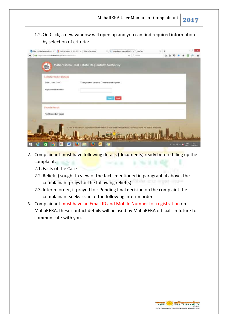1.2.On Click, a new window will open up and you can find required information by selection of criteria:

| 21 Mail - Diplika/Jacritar@mill >       2 Easy FAYLINds = 19.12.3 : Mill >C   Other Information | X     Login Page: Mahimuhtra T. X   New Tab                                                                     | ×. |   |   |         |   | $-$ 8               | × |
|-------------------------------------------------------------------------------------------------|-----------------------------------------------------------------------------------------------------------------|----|---|---|---------|---|---------------------|---|
| 1 & https://natures/crahaerlinkgov.in/sain/tist/sain/t.                                         | $\sigma$ $\alpha$ is an                                                                                         |    | ☆ | a |         |   |                     | ≡ |
| Maharashtra Real Estate Regulatory Authority<br>E.                                              |                                                                                                                 |    |   |   |         |   |                     |   |
| Search Project Details                                                                          |                                                                                                                 |    |   |   |         |   |                     |   |
| Select User Type"                                                                               | Registered Projects C Registered Agents                                                                         |    |   |   |         |   |                     |   |
| Registration Number*                                                                            |                                                                                                                 |    |   |   |         |   |                     |   |
|                                                                                                 | Hoch                                                                                                            |    |   |   |         |   |                     |   |
| Search Result                                                                                   |                                                                                                                 |    |   |   |         |   |                     |   |
| No Records Found                                                                                |                                                                                                                 |    |   |   |         |   |                     |   |
|                                                                                                 |                                                                                                                 |    |   |   |         |   |                     |   |
|                                                                                                 | C This is the attraced Application of Mahatashtra Rust Estate Regulatory Authority, India, All Rights Reserved. |    |   |   |         |   |                     |   |
| W                                                                                               |                                                                                                                 |    |   |   | 4 数 图 编 | œ | 18.11<br>21-89-2017 |   |

- 2. Complainant must have following details (documents) ready before filling up the complaint:
	- 2.1. Facts of the Case
	- 2.2. Relief(s) sought In view of the facts mentioned in paragraph 4 above, the complainant prays for the following relief(s)
	- 2.3. Interim order, if prayed for: Pending final decision on the complaint the complainant seeks issue of the following interim order
- 3. Complainant must have an Email ID and Mobile Number for registration on MahaRERA, these contact details will be used by MahaRERA officials in future to communicate with you.

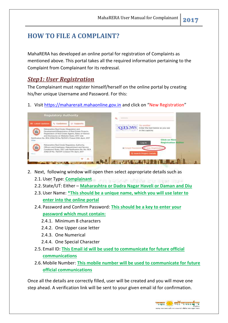## **HOW TO FILE A COMPLAINT?**

MahaRERA has developed an online portal for registration of Complaints as mentioned above. This portal takes all the required information pertaining to the Complaint from Complainant for its redressal.

#### *Step1: User Registration*

The Complainant must register himself/herself on the online portal by creating his/her unique Username and Password. For this:

1. Visit [https://maharerait.mahaonline.gov.in](https://maharerait.mahaonline.gov.in/) and click on "New Registration"



- 2. Next, following window will open then select appropriate details such as
	- 2.1.User Type: **Complainant**
	- 2.2. State/UT: Either **Maharashtra or Dadra Nagar Haveli or Daman and Diu**
	- 2.3.User Name: **\*This should be a unique name, which you will use later to enter into the online portal**
	- 2.4. Password and Confirm Password: **This should be a key to enter your password which must contain:**
		- 2.4.1. Minimum 8 characters
		- 2.4.2. One Upper case letter
		- 2.4.3. One Numerical
		- 2.4.4. One Special Character
	- 2.5. Email ID: **This Email id will be used to communicate for future official communications**
	- 2.6. Mobile Number: **This mobile number will be used to communicate for future official communications**

Once all the details are correctly filled, user will be created and you will move one step ahead. A verification link will be sent to your given email id for confirmation.

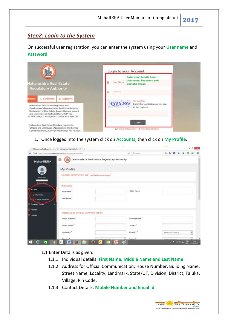#### *Step2: Login to the System*

On successful user registration, you can enter the system using your **User name** and **Password**.

| 目                                                                                                                                                                                                      | Login to your Account                                                                    |
|--------------------------------------------------------------------------------------------------------------------------------------------------------------------------------------------------------|------------------------------------------------------------------------------------------|
| Maharashtra Real Estate                                                                                                                                                                                | Enter your details here:<br><b>Username, Password and</b><br>Lisar Name<br>Captcha image |
| <b>Regulatory Authority</b>                                                                                                                                                                            | <b>BARBAGAS</b><br>a.                                                                    |
| <b>L</b> Guidelines<br>Supports<br><b>Indates</b>                                                                                                                                                      | Try another                                                                              |
| Maharashtra Real Estate (Regulation and<br>Development)(Registration of Real Estate Projects,<br>Registration of Real Estate Agents, Rates of Interest<br>and Disclosures on Website) Rules, 2017 vide | <b>QZLMS</b><br>Enter the text below as you see<br>in the captcha                        |
| No. REA 2016/CR No.79/DVP-2 Dated 20th April 2017<br>Maharashtra Real Estate Regulatory Authority.                                                                                                     | Log in                                                                                   |
| Officers and Employees (Appointment and Service<br>Conditions) Rules, 2017 vide Notification No. No. REA                                                                                               | E Forgot Password? El New Registration                                                   |

1. Once logged into the system click on **Accounts**, then click on **My Profile**.

|                                     | Mahasaritra Real Estate Real DC / 11 Mahasaritra Real Estate Real 2 / 4 |                                                      |                  |                         | $-$ 8 | x.       |
|-------------------------------------|-------------------------------------------------------------------------|------------------------------------------------------|------------------|-------------------------|-------|----------|
| ۰                                   | O & https://natures/cruckershik.gov.in/percent/de/personalists?         |                                                      | $e - 9$ . Second | ☆ 白 ワ 4                 |       | $\equiv$ |
| Maha-RERA                           | ≡<br>胎                                                                  | Maharashtra Real Estate Regulatory Authority         |                  |                         |       |          |
|                                     | My Profile                                                              |                                                      |                  |                         |       |          |
| Médezense.                          |                                                                         | General Information (All * Has field are mandatory.) |                  |                         |       |          |
| <b>Consulations</b>                 | <b>Individual</b>                                                       |                                                      |                  |                         |       |          |
| <b>Account</b><br><b>B</b> Hyllonia | First Name *                                                            |                                                      | Middle Name      |                         |       |          |
| <b>Chings Plassword</b>             | Last Name"                                                              |                                                      |                  |                         |       |          |
| <b>Complaint Debain</b><br>Payment  |                                                                         |                                                      |                  |                         |       |          |
| tog Out                             | Address For Official Communication                                      |                                                      |                  |                         |       |          |
|                                     | House Number."<br>전대 (2011년) 10월 5일                                     |                                                      | Butiding Name."  |                         |       |          |
|                                     | Street Name*<br>지하 보러 장치                                                |                                                      | Locality *       |                         |       |          |
|                                     | Landmark."<br>1221 NY LE                                                |                                                      | State/VT*        | MAHARASHTRA             |       |          |
|                                     | Titutators. <sup>4</sup>                                                |                                                      | Distance?        | matical mission         |       |          |
| ā<br>e                              | 囲<br>w                                                                  |                                                      |                  | $-7 - 0 = 6$ and $-700$ |       |          |

- 1.1 Enter Details as given:
	- 1.1.1 Individual details: **First Name, Middle Name and Last Name**
	- 1.1.2 Address for Official Communication: House Number, Building Name, Street Name, Locality, Landmark, State/UT, Division, District, Taluka, Village, Pin Code.
	- 1.1.3 Contact Details: **Mobile Number and Email Id**

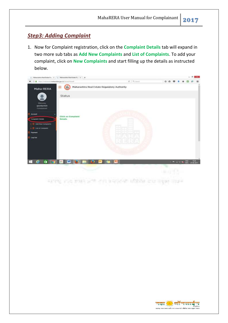#### *Step3: Adding Complaint*

1. Now for Complaint registration, click on the **Complaint Details** tab will expand in two more sub tabs as **Add New Complaints** and **List of Complaints**. To add your complaint, click on **New Complaints** and start filling up the details as instructed below.



**SILT O SITUATION** supersy area month with your accounted stillates when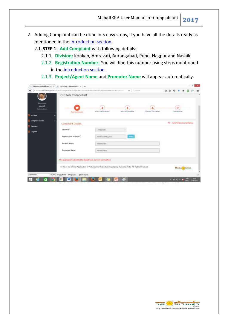MahaRERA User Manual for Complainant **2017**

- 2. Adding Complaint can be done in 5 easy steps, if you have all the details ready as mentioned in the [introduction section.](#page-1-0)
	- 2.1. **STEP 1**: **Add Complaint** with following details:
		- 2.1.1. **Division:** Konkan, Amravati, Aurangabad, Pune, Nagpur and Nashik
		- 2.1.2. **Registration Number:** You will find this number using steps mentioned in the [introduction section.](#page-1-0)
		- 2.1.3. **Project/Agent Name** and **Promoter Name** will appear automatically.

|                                   | Mahasartea Rad Erista Rec (X)     Login Page: Mahasartea (V)   + | $C = 9$                                                                                                         | ×<br>☆ 白<br>◛                                |
|-----------------------------------|------------------------------------------------------------------|-----------------------------------------------------------------------------------------------------------------|----------------------------------------------|
|                                   | Citizen Complaint                                                |                                                                                                                 |                                              |
| Welcome.<br>compt<br>Complainant. | Add Complaint<br><b>TEXCOMPLAN</b>                               | 土<br>۵<br>Add Respondent<br>Add Correliairunt<br><b>Uplaad Document</b>                                         | 窗<br>Declaration                             |
| Account                           |                                                                  |                                                                                                                 |                                              |
| Completed Details<br>Payment      | Complaint Details                                                |                                                                                                                 | All * mark fields are mandatory.             |
| Log Out                           | Division."                                                       | Ammiett                                                                                                         |                                              |
|                                   | Registration Namber *.                                           | <b>Well</b><br>F50300000003                                                                                     |                                              |
|                                   | Project Nome                                                     | indesidasid                                                                                                     |                                              |
|                                   | Promotor Name                                                    | mondavidn                                                                                                       |                                              |
|                                   | This application submitted to department, can not be modified.   |                                                                                                                 |                                              |
|                                   |                                                                  | 6 This is the official Application of Maharashtra Real Estate Regulatory Authority, India. All Rights Reserved. | <b>Controllering</b>                         |
| 8000000007<br>A.M.                | HighRight All<br>Watch Case<br><b>Till hale Words</b>            |                                                                                                                 | $\overline{\mathcal{M}}$                     |
| σ                                 | uв<br>m                                                          | 67                                                                                                              | <b>COLOR</b><br>4100.000<br><b>T-29-2017</b> |

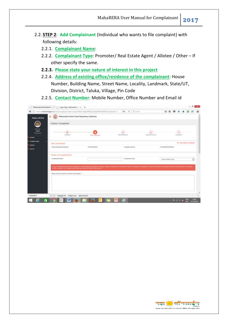- 2.2. **STEP 2**: **Add Complainant** (Individual who wants to file complaint) with following details:
	- 2.2.1. **Complainant Name**:
	- 2.2.2. **Complainant Type**: Promoter/ Real Estate Agent / Allotee / Other If other specify the same.
	- **2.2.3. Please state your nature of interest in this project**
	- 2.2.4. **Address of existing office/residence of the complainant**: House Number, Building Name, Street Name, Locality, Landmark, State/UT, Division, District, Taluka, Village, Pin Code
	- 2.2.5. **Contact Number**: Mobile Number, Office Number and Email id

| Maturanttra Real Estate Regulatory Authority<br>Ξ<br>蚯<br>Maha-RERA<br>Citizen Complaint<br><b>TOPICK</b><br>٠<br>٠<br>窘<br>Cangainet<br><b><i>Limes</i></b> Distanced<br><b>July Herzsenstern</b><br>Scottwident<br>Industrial<br><b>Bald Complement</b><br><b>ACCOUNT</b><br><b>Composed Exhaus</b><br>Ad 1 more liested one monitorial<br>Artist Compliations<br><b>Hamon</b><br><b>Thurst Deputed on Number</b><br>PIERRODOGOGI<br>ZEBER#00000000020<br>Completed Number<br>The company of the company of the<br>ುಂಬ<br>Condition and of<br><b>FRANCISCO</b><br>uspoid<br>Details of Complainant (5)<br>Complainers Rome"<br>Compilationed Tape <sup>*</sup><br>limited electronic Parties |
|------------------------------------------------------------------------------------------------------------------------------------------------------------------------------------------------------------------------------------------------------------------------------------------------------------------------------------------------------------------------------------------------------------------------------------------------------------------------------------------------------------------------------------------------------------------------------------------------------------------------------------------------------------------------------------------------|
|                                                                                                                                                                                                                                                                                                                                                                                                                                                                                                                                                                                                                                                                                                |
|                                                                                                                                                                                                                                                                                                                                                                                                                                                                                                                                                                                                                                                                                                |
|                                                                                                                                                                                                                                                                                                                                                                                                                                                                                                                                                                                                                                                                                                |
|                                                                                                                                                                                                                                                                                                                                                                                                                                                                                                                                                                                                                                                                                                |
|                                                                                                                                                                                                                                                                                                                                                                                                                                                                                                                                                                                                                                                                                                |
|                                                                                                                                                                                                                                                                                                                                                                                                                                                                                                                                                                                                                                                                                                |
|                                                                                                                                                                                                                                                                                                                                                                                                                                                                                                                                                                                                                                                                                                |
| (1) he bis Macrosoft is for Ethiol Chigadian and Household Macrosoft Macrosoft Purent Pause (Computer State of Everyonan Sell Agree on 1 have 222 June 6, and approval private Colombia in the purent<br>in the a complaint do this required, planne scale sons colors of Stormet in this propert<br>Thomas might prop makers of automobile the parageon."                                                                                                                                                                                                                                                                                                                                     |

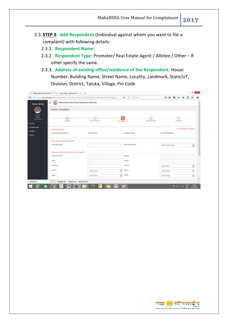- 2.3. **STEP 3**: **Add Respondent** (Individual against whom you want to file a complaint) with following details:
	- 2.3.1. **Respondent Name**:
	- 2.3.2. **Respondent Type**: Promoter/ Real Estate Agent / Allotee / Other If other specify the same.
	- 2.3.3. **Address of existing office/residence of the Respondent**: House Number, Building Name, Street Name, Locality, Landmark, State/UT, Division, District, Taluka, Village, Pin Code

|                                         |                                                        | (C) with a management for the comparative Character of Microsoft Microsoft Control (Microsoft Control of the C) (C) and the |                                                           | ☆ 白 四 ↓                        |                                    |
|-----------------------------------------|--------------------------------------------------------|-----------------------------------------------------------------------------------------------------------------------------|-----------------------------------------------------------|--------------------------------|------------------------------------|
| Maha-RERA                               | Maharashtra Real Estate Regulatory Authority<br>Ξ<br>蚯 |                                                                                                                             |                                                           |                                |                                    |
|                                         | Citizen Complaint                                      |                                                                                                                             |                                                           |                                |                                    |
| <b>TOPICK</b><br>Cangusowt              | ٠<br>Simplem                                           | A<br>AAF Exhibition                                                                                                         | <b>Bill Rivers</b><br>Antillegement                       | л<br><b>Lightweil Students</b> | $\frac{1}{2}$<br>Individual        |
| <b>ACCOUNT</b><br><b>Company Entain</b> |                                                        |                                                                                                                             |                                                           |                                |                                    |
| <b>WEIGHT</b>                           | Add lieipondert                                        |                                                                                                                             |                                                           |                                | Ad 1 more liabilities manufacture. |
| uspoid                                  | <b>Thranel Depolastics Number</b><br>100 S.M. WARREN   | PERMITTED<br>- - - - - - -                                                                                                  | Completed Number<br>anaza.                                | ZEBER#00000000028              |                                    |
|                                         | <b>Racticulars of the Hespbistone</b>                  |                                                                                                                             |                                                           |                                |                                    |
|                                         | Drawmind Name"                                         |                                                                                                                             | Type of Enquirement                                       | limit T Floriday Turn          | ⋓                                  |
|                                         | Address of the existing office desperation.            |                                                                                                                             |                                                           |                                |                                    |
|                                         | Home Hu /First No.                                     |                                                                                                                             | <b>Hutching</b>                                           |                                |                                    |
|                                         | Silvered                                               |                                                                                                                             | Lacamy                                                    |                                |                                    |
|                                         | <b>Tuesday</b>                                         |                                                                                                                             | Titeris/OT 7                                              | <b>SANT HAN</b>                | $\left[ \frac{1}{2} \right]$       |
|                                         | Dismann 1                                              | <b>Geleck Demana</b>                                                                                                        | Glassratt,"<br>$\frac{1}{2} \left( \frac{1}{2} \right)^2$ | latest times                   |                                    |
|                                         | Totals."                                               | telect hear.                                                                                                                | <b>Village</b><br>$\omega$                                | <b>Tennet Viknise</b>          | $\overline{\mathbf{e}}$            |
|                                         |                                                        |                                                                                                                             |                                                           |                                |                                    |

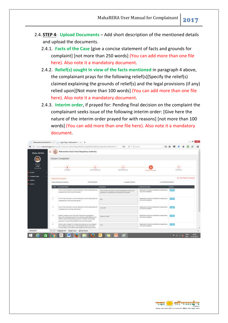- 2.4. **STEP 4**: **Upload Documents** Add short description of the mentioned details and upload the documents.
	- 2.4.1. **Facts of the Case** [give a concise statement of facts and grounds for complaint] [not more than 250 words] (You can add more than one file here). Also note it a mandatory document.
	- 2.4.2. **Relief(s) sought In view of the facts mentioned** in paragraph 4 above, the complainant prays for the following relief(s)[Specify the relief(s) claimed explaining the grounds of relief(s) and the legal provisions (if any) relied upon][Not more than 100 words] (You can add more than one file here). Also note it a mandatory document.
	- 2.4.3. **Interim order**, if prayed for: Pending final decision on the complaint the complainant seeks issue of the following interim order: [Give here the nature of the interim order prayed for with reasons] [not more than 100 words] (You can add more than one file here). Also note it a mandatory document.

|                      | (i) summanutes design in Chambu (Direction HSL/A) alumin (EDm No 2WN SUNA) De CP (video WA HS/Chambu                                                                                                       | THE C Q SHOW                                                                                                      | ☆ 白                                                                                                        |                        |                                      |
|----------------------|------------------------------------------------------------------------------------------------------------------------------------------------------------------------------------------------------------|-------------------------------------------------------------------------------------------------------------------|------------------------------------------------------------------------------------------------------------|------------------------|--------------------------------------|
| Ξ<br>36<br>Maha-RERA | Maturaphtra Real Estate Regulatory Authority                                                                                                                                                               |                                                                                                                   |                                                                                                            |                        |                                      |
|                      | Citizen Complaint                                                                                                                                                                                          |                                                                                                                   |                                                                                                            |                        |                                      |
| torici-<br>Canyannes | Liste and Control<br>AAF Constrained                                                                                                                                                                       | <b>Add Helpenstern</b>                                                                                            | <b>Upstream Greenwood</b>                                                                                  | 窘<br><b>Individual</b> |                                      |
|                      | Upstaat Documents                                                                                                                                                                                          |                                                                                                                   |                                                                                                            |                        | Ad 1 month liabilities monitorially. |
|                      | <b>Thranci Depictration Number</b><br>PIERCOOREI                                                                                                                                                           | Completed Numbers                                                                                                 | CEREMONIA KANADI                                                                                           |                        |                                      |
| St War               | <b>Despite Nove</b>                                                                                                                                                                                        | <b>Zearples</b>                                                                                                   | <b>Union Document</b>                                                                                      | Action                 |                                      |
|                      | Facts of the Case (gove a rooming sharement of terms and proposity too<br>complexed their more than 250 words). "                                                                                          | Facts of the case gran a consiste observers of back well.<br>projects for compliant foot please than 2010 worlds. | Application has been julemeted to doportment.<br>turn run for munitized                                    | <b>Card</b>            |                                      |
| $\overline{z}$       | Facts of the Class (goes a concret statement of tacts and provide fac-<br>WWW.ARRAY<br>complaint Door more than 250 works). <sup>2</sup><br>10. 그 화 화 사진 10 원이 좀 먹어요?                                      | <b>CALL</b>                                                                                                       | Approximative Ceres substituted to department.<br>can not be modified.<br>Commercial and Control and Party | $-$                    |                                      |
| $\mathcal{R}^+$      | Facts of the Case tone a concise statement of facts and grounds for<br>completed title more than 250 works!"                                                                                               | <b>Week Struff</b>                                                                                                | Application has been submitted to department.<br>rate not be multired.                                     | <b>First</b>           |                                      |
|                      | Belief LL Jacques in Venezueld Infants of the west of this and the belief                                                                                                                                  | fectual of contin                                                                                                 | Application had been laterathed to department.<br>can rest be modified.                                    |                        |                                      |
| 4.11                 | above, the complement physicility the following miletizatile ecoly the<br>teplated box (distinct in deposite the process terminal Gibbon)<br>provisions UL any) releaf apart@Not more ULar 950 worskil * 1 |                                                                                                                   |                                                                                                            |                        |                                      |